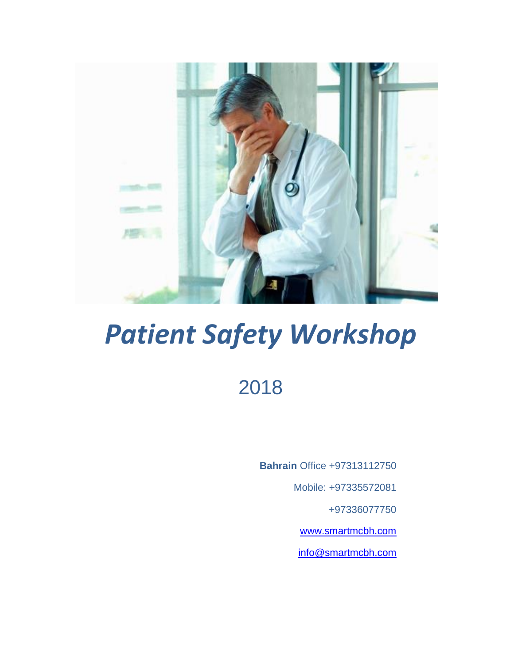

# *Patient Safety Workshop*

2018

**Bahrain** Office +97313112750

Mobile: +97335572081

+97336077750

[www.smartmcbh.com](http://www.smartmcbh.com/)

[info@smartmcbh.com](mailto:info@smartmcbh.com)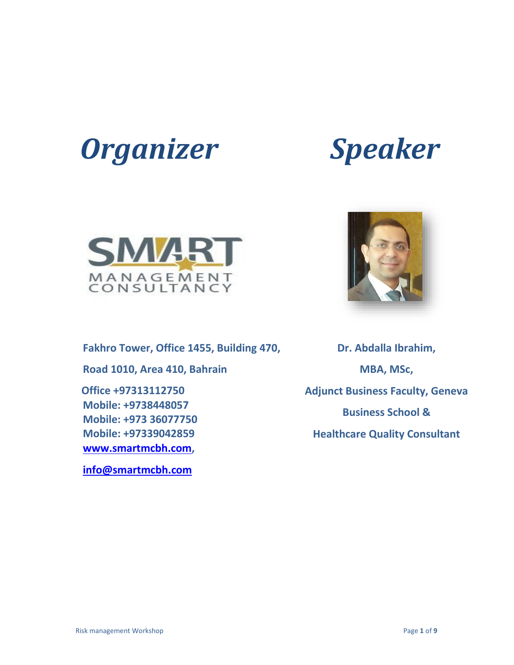



**Fakhro Tower, Office 1455, Building 470, Road 1010, Area 410, Bahrain Office +97313112750 Mobile: +9738448057 Mobile: +973 36077750 Mobile: +97339042859 [www.smartmcbh.com,](http://www.smartmcbh.com/) [info@smartmcbh.com](mailto:info@smartmcbh.com)**

**Dr. Abdalla Ibrahim,**

**MBA, MSc, Adjunct Business Faculty, Geneva Business School & Healthcare Quality Consultant**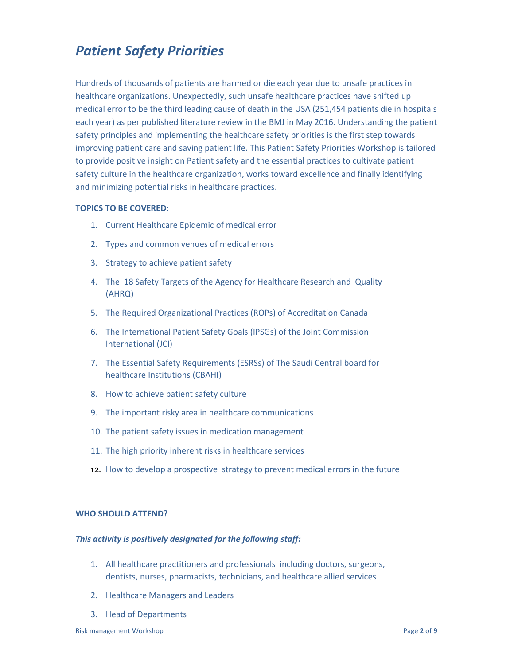### *Patient Safety Priorities*

Hundreds of thousands of patients are harmed or die each year due to unsafe practices in healthcare organizations. Unexpectedly, such unsafe healthcare practices have shifted up medical error to be the third leading cause of death in the USA (251,454 patients die in hospitals each year) as per published literature review in the BMJ in May 2016. Understanding the patient safety principles and implementing the healthcare safety priorities is the first step towards improving patient care and saving patient life. This Patient Safety Priorities Workshop is tailored to provide positive insight on Patient safety and the essential practices to cultivate patient safety culture in the healthcare organization, works toward excellence and finally identifying and minimizing potential risks in healthcare practices.

### **TOPICS TO BE COVERED:**

- 1. Current Healthcare Epidemic of medical error
- 2. Types and common venues of medical errors
- 3. Strategy to achieve patient safety
- 4. The 18 Safety Targets of the Agency for Healthcare Research and Quality (AHRQ)
- 5. The Required Organizational Practices (ROPs) of Accreditation Canada
- 6. The International Patient Safety Goals (IPSGs) of the Joint Commission International (JCI)
- 7. The Essential Safety Requirements (ESRSs) of The Saudi Central board for healthcare Institutions (CBAHI)
- 8. How to achieve patient safety culture
- 9. The important risky area in healthcare communications
- 10. The patient safety issues in medication management
- 11. The high priority inherent risks in healthcare services
- 12. How to develop a prospective strategy to prevent medical errors in the future

### **WHO SHOULD ATTEND?**

### *This activity is positively designated for the following staff:*

- 1. All healthcare practitioners and professionals including doctors, surgeons, dentists, nurses, pharmacists, technicians, and healthcare allied services
- 2. Healthcare Managers and Leaders
- 3. Head of Departments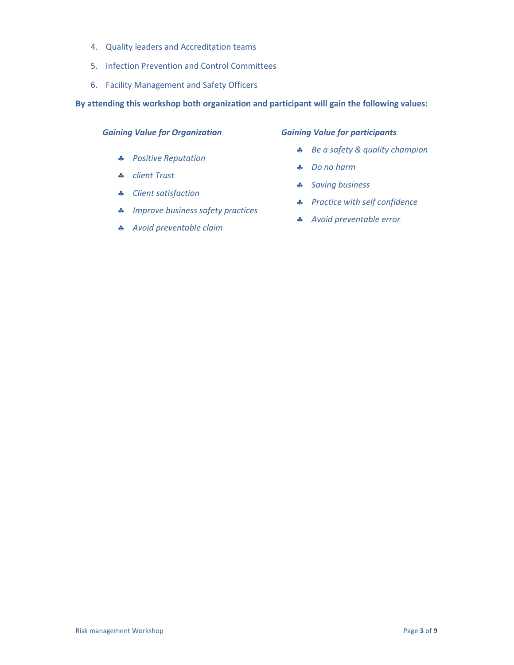- 4. Quality leaders and Accreditation teams
- 5. Infection Prevention and Control Committees
- 6. Facility Management and Safety Officers

### **By attending this workshop both organization and participant will gain the following values:**

### *Gaining Value for Organization*

- *Positive Reputation*
- *client Trust*
- *Client satisfaction*
- *Improve business safety practices*
- *Avoid preventable claim*

### *Gaining Value for participants*

- *Be a safety & quality champion*
- *Do no harm*
- *Saving business*
- *Practice with self confidence*
- *Avoid preventable error*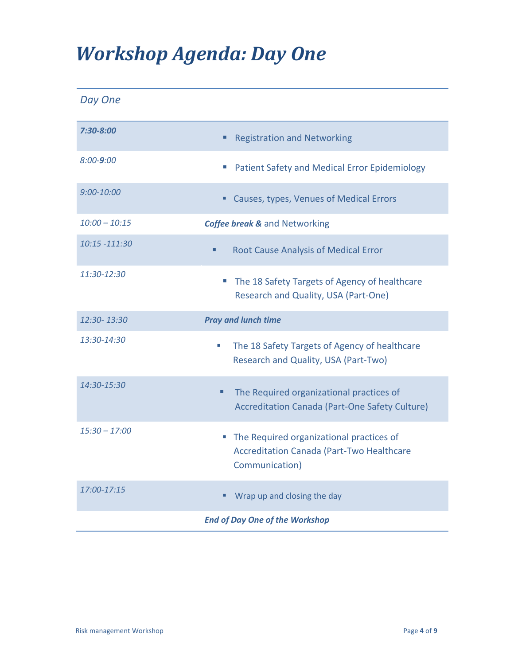## *Workshop Agenda: Day One*

*Day One*

| 7:30-8:00       | <b>Registration and Networking</b>                                                                                  |
|-----------------|---------------------------------------------------------------------------------------------------------------------|
| $8:00 - 9:00$   | <b>Patient Safety and Medical Error Epidemiology</b><br>ш                                                           |
| $9:00 - 10:00$  | Causes, types, Venues of Medical Errors                                                                             |
| $10:00 - 10:15$ | <b>Coffee break &amp; and Networking</b>                                                                            |
| 10:15 -111:30   | <b>Root Cause Analysis of Medical Error</b><br>٠                                                                    |
| 11:30-12:30     | The 18 Safety Targets of Agency of healthcare<br>×.<br>Research and Quality, USA (Part-One)                         |
| 12:30-13:30     | <b>Pray and lunch time</b>                                                                                          |
| 13:30-14:30     | The 18 Safety Targets of Agency of healthcare<br>u.<br>Research and Quality, USA (Part-Two)                         |
| 14:30-15:30     | The Required organizational practices of<br>٠<br><b>Accreditation Canada (Part-One Safety Culture)</b>              |
| $15:30 - 17:00$ | The Required organizational practices of<br>ш<br><b>Accreditation Canada (Part-Two Healthcare</b><br>Communication) |
| 17:00-17:15     | Wrap up and closing the day                                                                                         |
|                 | <b>End of Day One of the Workshop</b>                                                                               |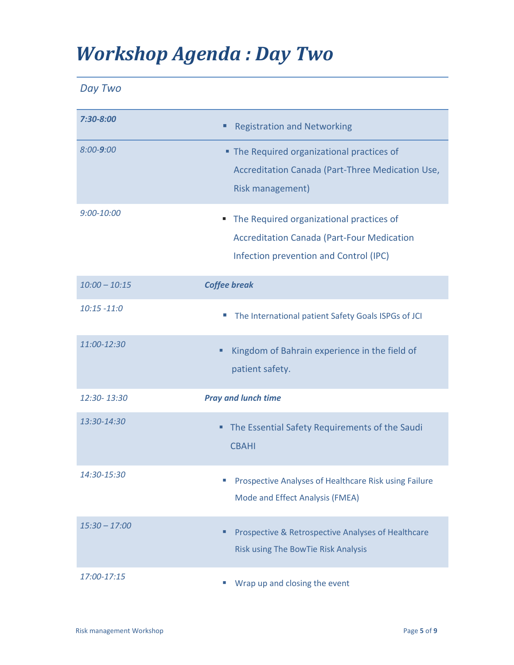## *Workshop Agenda : Day Two*

| ם נו | WO. |
|------|-----|
|------|-----|

| 7:30-8:00       | <b>Registration and Networking</b>                                                                                                           |
|-----------------|----------------------------------------------------------------------------------------------------------------------------------------------|
| $8:00 - 9:00$   | • The Required organizational practices of<br>Accreditation Canada (Part-Three Medication Use,<br>Risk management)                           |
| $9:00 - 10:00$  | The Required organizational practices of<br>ш<br><b>Accreditation Canada (Part-Four Medication</b><br>Infection prevention and Control (IPC) |
| $10:00 - 10:15$ | <b>Coffee break</b>                                                                                                                          |
| $10:15 - 11:0$  | The International patient Safety Goals ISPGs of JCI<br>×.                                                                                    |
| 11:00-12:30     | Kingdom of Bahrain experience in the field of<br>Ξ<br>patient safety.                                                                        |
| 12:30-13:30     | <b>Pray and lunch time</b>                                                                                                                   |
| 13:30-14:30     | The Essential Safety Requirements of the Saudi<br>٠<br><b>CBAHI</b>                                                                          |
| 14:30-15:30     | Prospective Analyses of Healthcare Risk using Failure<br>Mode and Effect Analysis (FMEA)                                                     |
| $15:30 - 17:00$ | Prospective & Retrospective Analyses of Healthcare<br>■<br>Risk using The BowTie Risk Analysis                                               |
| 17:00-17:15     | Wrap up and closing the event                                                                                                                |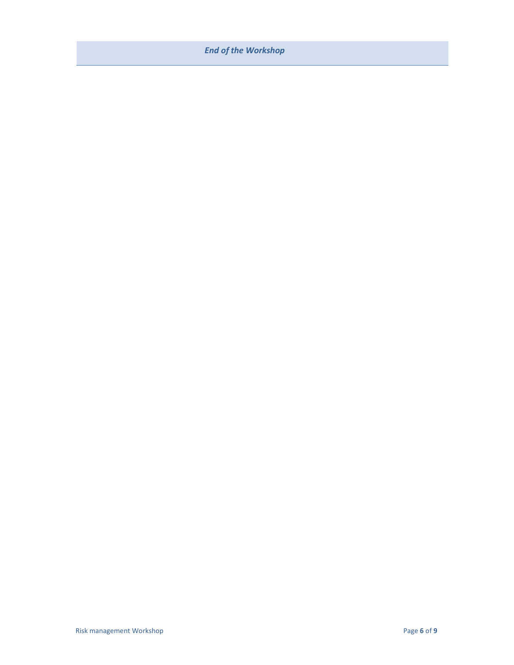### *End of the Workshop*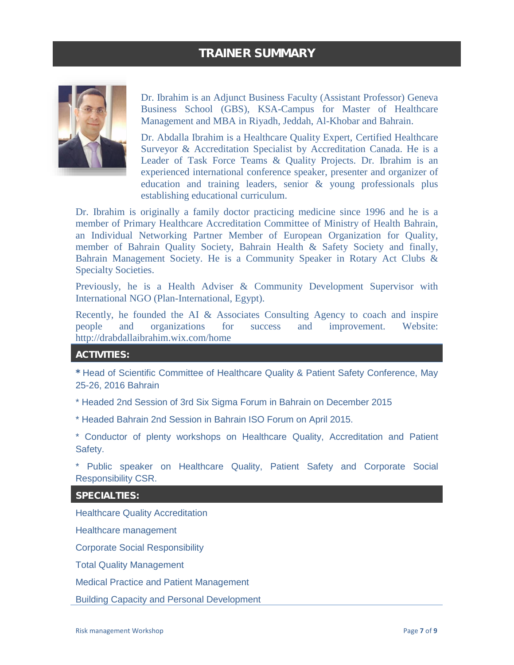### TRAINER SUMMARY



Dr. Ibrahim is an Adjunct Business Faculty (Assistant Professor) Geneva Business School (GBS), KSA-Campus for Master of Healthcare Management and MBA in Riyadh, Jeddah, Al-Khobar and Bahrain.

Dr. Abdalla Ibrahim is a Healthcare Quality Expert, Certified Healthcare Surveyor & Accreditation Specialist by Accreditation Canada. He is a Leader of Task Force Teams & Quality Projects. Dr. Ibrahim is an experienced international conference speaker, presenter and organizer of education and training leaders, senior & young professionals plus establishing educational curriculum.

Dr. Ibrahim is originally a family doctor practicing medicine since 1996 and he is a member of Primary Healthcare Accreditation Committee of Ministry of Health Bahrain, an Individual Networking Partner Member of European Organization for Quality, member of Bahrain Quality Society, Bahrain Health & Safety Society and finally, Bahrain Management Society. He is a Community Speaker in Rotary Act Clubs & Specialty Societies.

Previously, he is a Health Adviser & Community Development Supervisor with International NGO (Plan-International, Egypt).

Recently, he founded the AI & Associates Consulting Agency to coach and inspire people and organizations for success and improvement. Website: http://drabdallaibrahim.wix.com/home

### ACTIVITIES:

\* Head of Scientific Committee of Healthcare Quality & Patient Safety Conference, May 25-26, 2016 Bahrain

\* Headed 2nd Session of 3rd Six Sigma Forum in Bahrain on December 2015

\* Headed Bahrain 2nd Session in Bahrain ISO Forum on April 2015.

\* Conductor of plenty workshops on Healthcare Quality, Accreditation and Patient Safety.

\* Public speaker on Healthcare Quality, Patient Safety and Corporate Social Responsibility CSR.

SPECIALTIES:

Healthcare Quality Accreditation

Healthcare management

Corporate Social Responsibility

Total Quality Management

Medical Practice and Patient Management

Building Capacity and Personal Development